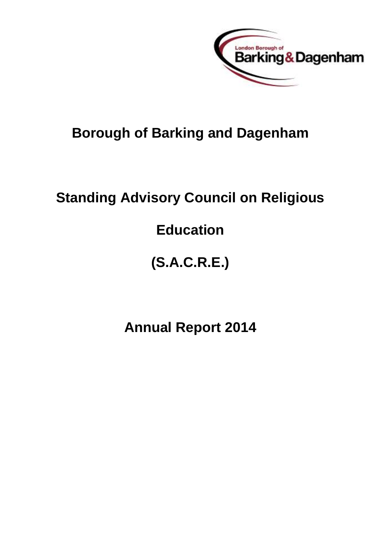

## **Borough of Barking and Dagenham**

## **Standing Advisory Council on Religious**

## **Education**

# **(S.A.C.R.E.)**

## **Annual Report 2014**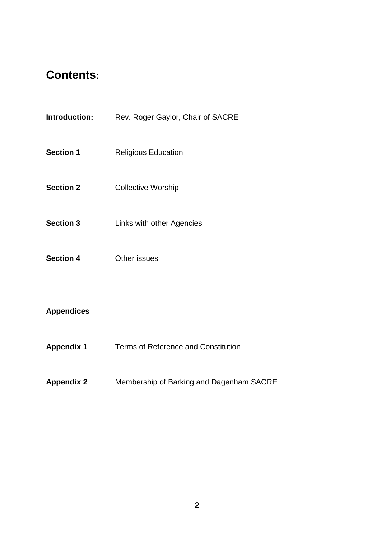## **Contents:**

- **Introduction:** Rev. Roger Gaylor, Chair of SACRE
- **Section 1** Religious Education
- **Section 2** Collective Worship
- **Section 3** Links with other Agencies
- **Section 4** Other issues

#### **Appendices**

- **Appendix 1** Terms of Reference and Constitution
- **Appendix 2** Membership of Barking and Dagenham SACRE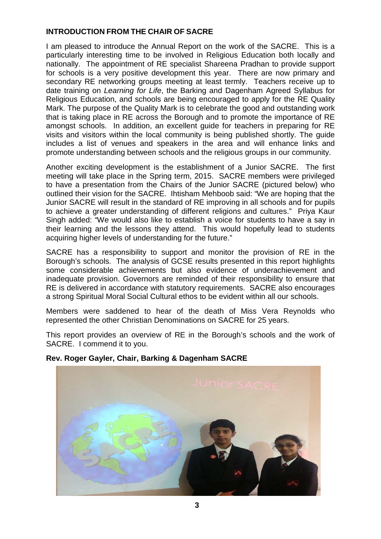#### **INTRODUCTION FROM THE CHAIR OF SACRE**

I am pleased to introduce the Annual Report on the work of the SACRE. This is a particularly interesting time to be involved in Religious Education both locally and nationally. The appointment of RE specialist Shareena Pradhan to provide support for schools is a very positive development this year. There are now primary and secondary RE networking groups meeting at least termly. Teachers receive up to date training on *Learning for Life*, the Barking and Dagenham Agreed Syllabus for Religious Education, and schools are being encouraged to apply for the RE Quality Mark. The purpose of the Quality Mark is to celebrate the good and outstanding work that is taking place in RE across the Borough and to promote the importance of RE amongst schools. In addition, an excellent guide for teachers in preparing for RE visits and visitors within the local community is being published shortly. The guide includes a list of venues and speakers in the area and will enhance links and promote understanding between schools and the religious groups in our community.

Another exciting development is the establishment of a Junior SACRE. The first meeting will take place in the Spring term, 2015. SACRE members were privileged to have a presentation from the Chairs of the Junior SACRE (pictured below) who outlined their vision for the SACRE. Ihtisham Mehboob said: "We are hoping that the Junior SACRE will result in the standard of RE improving in all schools and for pupils to achieve a greater understanding of different religions and cultures." Priya Kaur Singh added: "We would also like to establish a voice for students to have a say in their learning and the lessons they attend. This would hopefully lead to students acquiring higher levels of understanding for the future."

SACRE has a responsibility to support and monitor the provision of RE in the Borough's schools. The analysis of GCSE results presented in this report highlights some considerable achievements but also evidence of underachievement and inadequate provision. Governors are reminded of their responsibility to ensure that RE is delivered in accordance with statutory requirements. SACRE also encourages a strong Spiritual Moral Social Cultural ethos to be evident within all our schools.

Members were saddened to hear of the death of Miss Vera Reynolds who represented the other Christian Denominations on SACRE for 25 years.

This report provides an overview of RE in the Borough's schools and the work of SACRE. I commend it to you.



#### **Rev. Roger Gayler, Chair, Barking & Dagenham SACRE**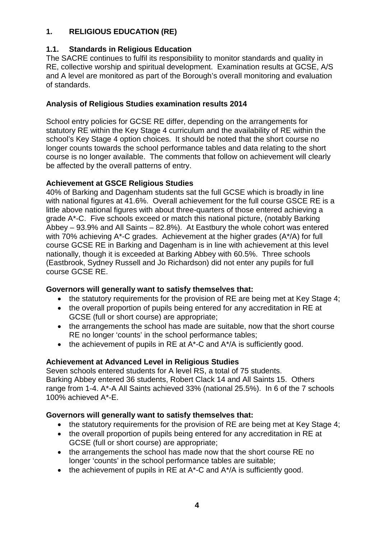## **1. RELIGIOUS EDUCATION (RE)**

### **1.1. Standards in Religious Education**

The SACRE continues to fulfil its responsibility to monitor standards and quality in RE, collective worship and spiritual development. Examination results at GCSE, A/S and A level are monitored as part of the Borough's overall monitoring and evaluation of standards.

### **Analysis of Religious Studies examination results 2014**

School entry policies for GCSE RE differ, depending on the arrangements for statutory RE within the Key Stage 4 curriculum and the availability of RE within the school's Key Stage 4 option choices. It should be noted that the short course no longer counts towards the school performance tables and data relating to the short course is no longer available. The comments that follow on achievement will clearly be affected by the overall patterns of entry.

#### **Achievement at GSCE Religious Studies**

40% of Barking and Dagenham students sat the full GCSE which is broadly in line with national figures at 41.6%. Overall achievement for the full course GSCE RE is a little above national figures with about three-quarters of those entered achieving a grade A\*-C. Five schools exceed or match this national picture, (notably Barking Abbey – 93.9% and All Saints – 82.8%). At Eastbury the whole cohort was entered with 70% achieving A\*-C grades. Achievement at the higher grades (A\*/A) for full course GCSE RE in Barking and Dagenham is in line with achievement at this level nationally, though it is exceeded at Barking Abbey with 60.5%. Three schools (Eastbrook, Sydney Russell and Jo Richardson) did not enter any pupils for full course GCSE RE.

#### **Governors will generally want to satisfy themselves that:**

- the statutory requirements for the provision of RE are being met at Key Stage 4;
- the overall proportion of pupils being entered for any accreditation in RE at GCSE (full or short course) are appropriate;
- the arrangements the school has made are suitable, now that the short course RE no longer 'counts' in the school performance tables;
- the achievement of pupils in RE at  $A^*$ -C and  $A^*/A$  is sufficiently good.

## **Achievement at Advanced Level in Religious Studies**

Seven schools entered students for A level RS, a total of 75 students. Barking Abbey entered 36 students, Robert Clack 14 and All Saints 15. Others range from 1-4. A\*-A All Saints achieved 33% (national 25.5%). In 6 of the 7 schools 100% achieved A\*-E.

#### **Governors will generally want to satisfy themselves that:**

- the statutory requirements for the provision of RE are being met at Key Stage 4;
- the overall proportion of pupils being entered for any accreditation in RE at GCSE (full or short course) are appropriate;
- the arrangements the school has made now that the short course RE no longer 'counts' in the school performance tables are suitable;
- the achievement of pupils in RE at  $A^*$ -C and  $A^*/A$  is sufficiently good.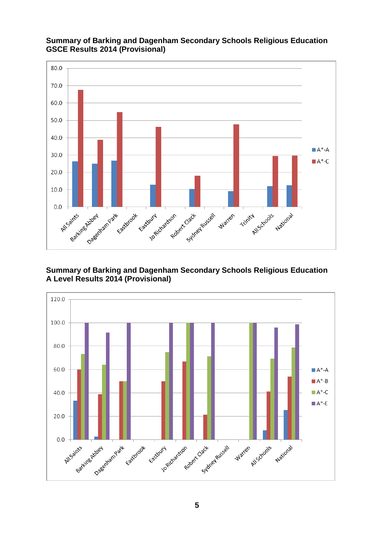

### **Summary of Barking and Dagenham Secondary Schools Religious Education GSCE Results 2014 (Provisional)**

### **Summary of Barking and Dagenham Secondary Schools Religious Education A Level Results 2014 (Provisional)**

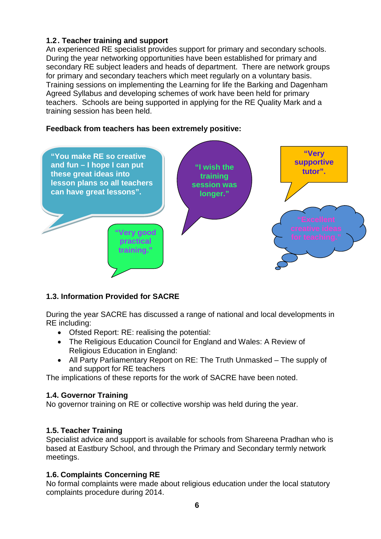## **1.2. Teacher training and support**

An experienced RE specialist provides support for primary and secondary schools. During the year networking opportunities have been established for primary and secondary RE subject leaders and heads of department. There are network groups for primary and secondary teachers which meet regularly on a voluntary basis. Training sessions on implementing the Learning for life the Barking and Dagenham Agreed Syllabus and developing schemes of work have been held for primary teachers. Schools are being supported in applying for the RE Quality Mark and a training session has been held.

### **Feedback from teachers has been extremely positive:**



## **1.3. Information Provided for SACRE**

During the year SACRE has discussed a range of national and local developments in RE including:

- Ofsted Report: RE: realising the potential:
- The Religious Education Council for England and Wales: A Review of Religious Education in England:
- All Party Parliamentary Report on RE: The Truth Unmasked The supply of and support for RE teachers

The implications of these reports for the work of SACRE have been noted.

#### **1.4. Governor Training**

No governor training on RE or collective worship was held during the year.

## **1.5. Teacher Training**

Specialist advice and support is available for schools from Shareena Pradhan who is based at Eastbury School, and through the Primary and Secondary termly network meetings.

## **1.6. Complaints Concerning RE**

No formal complaints were made about religious education under the local statutory complaints procedure during 2014.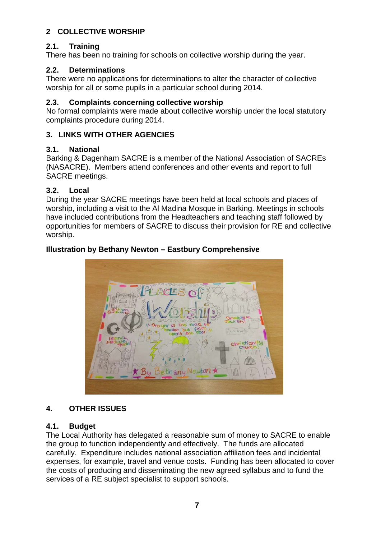## **2 COLLECTIVE WORSHIP**

## **2.1. Training**

There has been no training for schools on collective worship during the year.

## **2.2. Determinations**

There were no applications for determinations to alter the character of collective worship for all or some pupils in a particular school during 2014.

## **2.3. Complaints concerning collective worship**

No formal complaints were made about collective worship under the local statutory complaints procedure during 2014.

## **3. LINKS WITH OTHER AGENCIES**

## **3.1. National**

Barking & Dagenham SACRE is a member of the National Association of SACREs (NASACRE). Members attend conferences and other events and report to full SACRE meetings.

## **3.2. Local**

During the year SACRE meetings have been held at local schools and places of worship, including a visit to the Al Madina Mosque in Barking. Meetings in schools have included contributions from the Headteachers and teaching staff followed by opportunities for members of SACRE to discuss their provision for RE and collective worship.

## **Illustration by Bethany Newton – Eastbury Comprehensive**



## **4. OTHER ISSUES**

## **4.1. Budget**

The Local Authority has delegated a reasonable sum of money to SACRE to enable the group to function independently and effectively. The funds are allocated carefully. Expenditure includes national association affiliation fees and incidental expenses, for example, travel and venue costs. Funding has been allocated to cover the costs of producing and disseminating the new agreed syllabus and to fund the services of a RE subject specialist to support schools.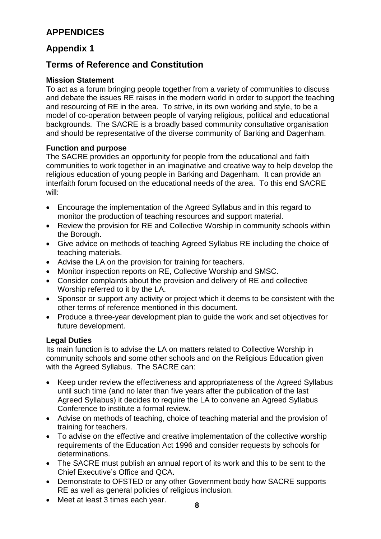## **APPENDICES**

## **Appendix 1**

## **Terms of Reference and Constitution**

#### **Mission Statement**

To act as a forum bringing people together from a variety of communities to discuss and debate the issues RE raises in the modern world in order to support the teaching and resourcing of RE in the area. To strive, in its own working and style, to be a model of co-operation between people of varying religious, political and educational backgrounds. The SACRE is a broadly based community consultative organisation and should be representative of the diverse community of Barking and Dagenham.

#### **Function and purpose**

The SACRE provides an opportunity for people from the educational and faith communities to work together in an imaginative and creative way to help develop the religious education of young people in Barking and Dagenham. It can provide an interfaith forum focused on the educational needs of the area. To this end SACRE will:

- Encourage the implementation of the Agreed Syllabus and in this regard to monitor the production of teaching resources and support material.
- Review the provision for RE and Collective Worship in community schools within the Borough.
- Give advice on methods of teaching Agreed Syllabus RE including the choice of teaching materials.
- Advise the LA on the provision for training for teachers.
- Monitor inspection reports on RE, Collective Worship and SMSC.
- Consider complaints about the provision and delivery of RE and collective Worship referred to it by the LA.
- Sponsor or support any activity or project which it deems to be consistent with the other terms of reference mentioned in this document.
- Produce a three-year development plan to guide the work and set objectives for future development.

#### **Legal Duties**

Its main function is to advise the LA on matters related to Collective Worship in community schools and some other schools and on the Religious Education given with the Agreed Syllabus. The SACRE can:

- Keep under review the effectiveness and appropriateness of the Agreed Syllabus until such time (and no later than five years after the publication of the last Agreed Syllabus) it decides to require the LA to convene an Agreed Syllabus Conference to institute a formal review.
- Advise on methods of teaching, choice of teaching material and the provision of training for teachers.
- To advise on the effective and creative implementation of the collective worship requirements of the Education Act 1996 and consider requests by schools for determinations.
- The SACRE must publish an annual report of its work and this to be sent to the Chief Executive's Office and QCA.
- Demonstrate to OFSTED or any other Government body how SACRE supports RE as well as general policies of religious inclusion.
- Meet at least 3 times each year.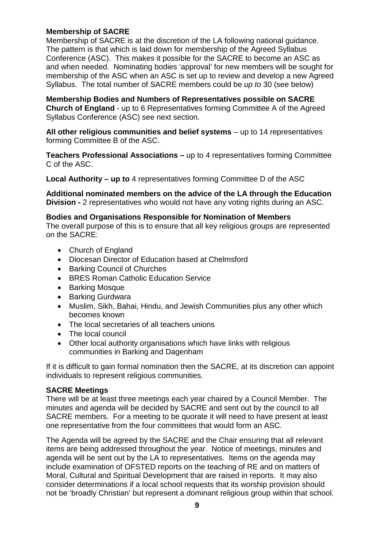#### **Membership of SACRE**

Membership of SACRE is at the discretion of the LA following national guidance. The pattern is that which is laid down for membership of the Agreed Syllabus Conference (ASC). This makes it possible for the SACRE to become an ASC as and when needed. Nominating bodies 'approval' for new members will be sought for membership of the ASC when an ASC is set up to review and develop a new Agreed Syllabus. The total number of SACRE members could be *up to* 30 (see below)

**Membership Bodies and Numbers of Representatives possible on SACRE Church of England** - up to 6 Representatives forming Committee A of the Agreed Syllabus Conference (ASC) see next section.

All other religious communities and belief systems – up to 14 representatives forming Committee B of the ASC.

**Teachers Professional Associations –** up to 4 representatives forming Committee C of the ASC.

**Local Authority – up to** 4 representatives forming Committee D of the ASC

**Additional nominated members on the advice of the LA through the Education Division -** 2 representatives who would not have any voting rights during an ASC.

#### **Bodies and Organisations Responsible for Nomination of Members**

The overall purpose of this is to ensure that all key religious groups are represented on the SACRE:

- Church of England
- Diocesan Director of Education based at Chelmsford
- Barking Council of Churches
- BRES Roman Catholic Education Service
- Barking Mosque
- Barking Gurdwara
- Muslim, Sikh, Bahai, Hindu, and Jewish Communities plus any other which becomes known
- The local secretaries of all teachers unions
- The local council
- Other local authority organisations which have links with religious communities in Barking and Dagenham

If it is difficult to gain formal nomination then the SACRE, at its discretion can appoint individuals to represent religious communities.

#### **SACRE Meetings**

There will be at least three meetings each year chaired by a Council Member. The minutes and agenda will be decided by SACRE and sent out by the council to all SACRE members. For a meeting to be quorate it will need to have present at least one representative from the four committees that would form an ASC.

The Agenda will be agreed by the SACRE and the Chair ensuring that all relevant items are being addressed throughout the year. Notice of meetings, minutes and agenda will be sent out by the LA to representatives. Items on the agenda may include examination of OFSTED reports on the teaching of RE and on matters of Moral, Cultural and Spiritual Development that are raised in reports. It may also consider determinations if a local school requests that its worship provision should not be 'broadly Christian' but represent a dominant religious group within that school.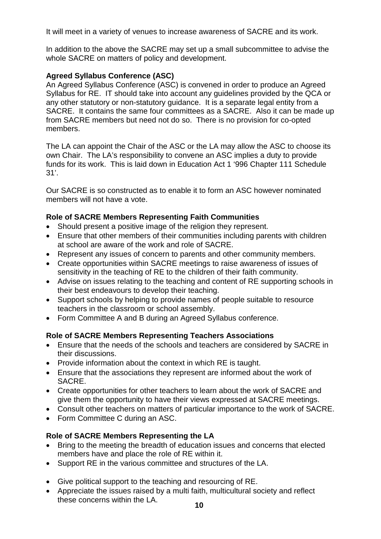It will meet in a variety of venues to increase awareness of SACRE and its work.

In addition to the above the SACRE may set up a small subcommittee to advise the whole SACRE on matters of policy and development.

### **Agreed Syllabus Conference (ASC)**

An Agreed Syllabus Conference (ASC) is convened in order to produce an Agreed Syllabus for RE. IT should take into account any guidelines provided by the QCA or any other statutory or non-statutory guidance. It is a separate legal entity from a SACRE. It contains the same four committees as a SACRE. Also it can be made up from SACRE members but need not do so. There is no provision for co-opted members.

The LA can appoint the Chair of the ASC or the LA may allow the ASC to choose its own Chair. The LA's responsibility to convene an ASC implies a duty to provide funds for its work. This is laid down in Education Act 1 '996 Chapter 111 Schedule 31'.

Our SACRE is so constructed as to enable it to form an ASC however nominated members will not have a vote.

#### **Role of SACRE Members Representing Faith Communities**

- Should present a positive image of the religion they represent.
- Ensure that other members of their communities including parents with children at school are aware of the work and role of SACRE.
- Represent any issues of concern to parents and other community members.
- Create opportunities within SACRE meetings to raise awareness of issues of sensitivity in the teaching of RE to the children of their faith community.
- Advise on issues relating to the teaching and content of RE supporting schools in their best endeavours to develop their teaching.
- Support schools by helping to provide names of people suitable to resource teachers in the classroom or school assembly.
- Form Committee A and B during an Agreed Syllabus conference.

#### **Role of SACRE Members Representing Teachers Associations**

- Ensure that the needs of the schools and teachers are considered by SACRE in their discussions.
- Provide information about the context in which RE is taught.
- Ensure that the associations they represent are informed about the work of SACRE.
- Create opportunities for other teachers to learn about the work of SACRE and give them the opportunity to have their views expressed at SACRE meetings.
- Consult other teachers on matters of particular importance to the work of SACRE.
- Form Committee C during an ASC.

#### **Role of SACRE Members Representing the LA**

- Bring to the meeting the breadth of education issues and concerns that elected members have and place the role of RE within it.
- Support RE in the various committee and structures of the LA.
- Give political support to the teaching and resourcing of RE.
- Appreciate the issues raised by a multi faith, multicultural society and reflect these concerns within the LA.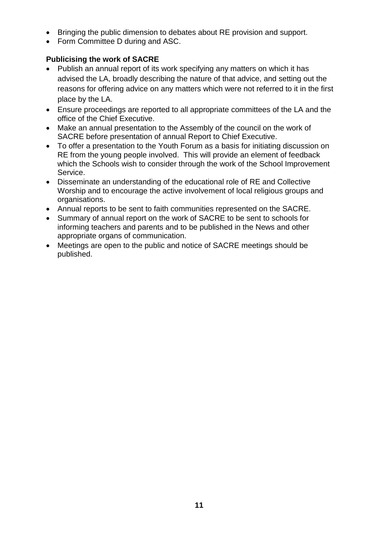- Bringing the public dimension to debates about RE provision and support.
- Form Committee D during and ASC.

## **Publicising the work of SACRE**

- Publish an annual report of its work specifying any matters on which it has advised the LA, broadly describing the nature of that advice, and setting out the reasons for offering advice on any matters which were not referred to it in the first place by the LA.
- Ensure proceedings are reported to all appropriate committees of the LA and the office of the Chief Executive.
- Make an annual presentation to the Assembly of the council on the work of SACRE before presentation of annual Report to Chief Executive.
- To offer a presentation to the Youth Forum as a basis for initiating discussion on RE from the young people involved. This will provide an element of feedback which the Schools wish to consider through the work of the School Improvement Service.
- Disseminate an understanding of the educational role of RE and Collective Worship and to encourage the active involvement of local religious groups and organisations.
- Annual reports to be sent to faith communities represented on the SACRE.
- Summary of annual report on the work of SACRE to be sent to schools for informing teachers and parents and to be published in the News and other appropriate organs of communication.
- Meetings are open to the public and notice of SACRE meetings should be published.